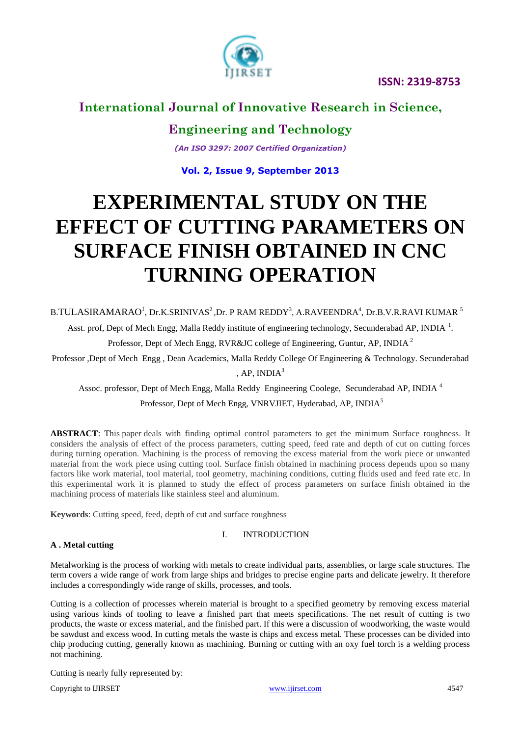

## **International Journal of Innovative Research in Science,**

**Engineering and Technology**

*(An ISO 3297: 2007 Certified Organization)*

## **Vol. 2, Issue 9, September 2013**

# **EXPERIMENTAL STUDY ON THE EFFECT OF CUTTING PARAMETERS ON SURFACE FINISH OBTAINED IN CNC TURNING OPERATION**

B.TULASIRAMARAO $^{\rm l}$ , Dr.K.SRINIVAS $^{\rm 2}$ ,Dr. P RAM REDDY $^{\rm 3}$ , A.RAVEENDRA $^{\rm 4}$ , Dr.B.V.R.RAVI KUMAR  $^{\rm 5}$ 

Asst. prof, Dept of Mech Engg, Malla Reddy institute of engineering technology, Secunderabad AP, INDIA<sup>1</sup>.

Professor, Dept of Mech Engg, RVR&JC college of Engineering, Guntur, AP, INDIA<sup>2</sup>

Professor ,Dept of Mech Engg , Dean Academics, Malla Reddy College Of Engineering & Technology. Secunderabad , AP, INDI $A<sup>3</sup>$ 

Assoc. professor, Dept of Mech Engg, Malla Reddy Engineering Coolege, Secunderabad AP, INDIA <sup>4</sup>

Professor, Dept of Mech Engg, VNRVJIET, Hyderabad, AP, INDIA<sup>5</sup>

**ABSTRACT**: This paper deals with finding optimal control parameters to get the minimum Surface roughness. It considers the analysis of effect of the process parameters, cutting speed, feed rate and depth of cut on cutting forces during turning operation. Machining is the process of removing the excess material from the work piece or unwanted material from the work piece using cutting tool. Surface finish obtained in machining process depends upon so many factors like work material, tool material, tool geometry, machining conditions, cutting fluids used and feed rate etc. In this experimental work it is planned to study the effect of process parameters on surface finish obtained in the machining process of materials like stainless steel and aluminum.

**Keywords**: Cutting speed, feed, depth of cut and surface roughness

### I. INTRODUCTION

### **A . Metal cutting**

Metalworking is the process of working with metals to create individual parts, assemblies, or large scale structures. The term covers a wide range of work from large ships and bridges to precise engine parts and delicate jewelry. It therefore includes a correspondingly wide range of skills, processes, and tools.

Cutting is a collection of processes wherein material is brought to a specified geometry by removing excess material using various kinds of tooling to leave a finished part that meets specifications. The net result of cutting is two products, the waste or excess material, and the finished part. If this were a discussion of woodworking, the waste would be sawdust and excess wood. In cutting metals the waste is chips and excess metal. These processes can be divided into chip producing cutting, generally known as machining. Burning or cutting with an oxy fuel torch is a welding process not machining.

Cutting is nearly fully represented by:

Copyright to IJIRSET and the control of the control of the [www.ijirset.com](http://www.ijirset.com/) and the control of the control of the control of the control of the control of the control of the control of the control of the control of the cont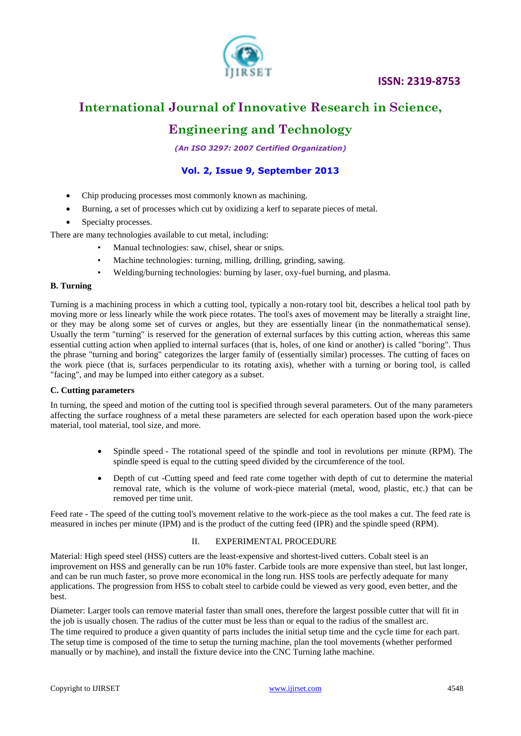

## **International Journal of Innovative Research in Science,**

# **Engineering and Technology**

*(An ISO 3297: 2007 Certified Organization)*

## **Vol. 2, Issue 9, September 2013**

- Chip producing processes most commonly known as machining.
- Burning, a set of processes which cut by oxidizing a kerf to separate pieces of metal.
- Specialty processes.

There are many technologies available to cut metal, including:

- Manual technologies: saw, chisel, shear or snips.
- Machine technologies: turning, milling, drilling, grinding, sawing.
- Welding/burning technologies: burning by laser, oxy-fuel burning, and plasma.

### **B. Turning**

Turning is a [machining](http://en.wikipedia.org/wiki/Machining) process in which a [cutting tool,](http://en.wikipedia.org/wiki/Cutting_tool_(machining)) typically a non-rotary [tool bit,](http://en.wikipedia.org/wiki/Tool_bit) describes a [helical](http://en.wikipedia.org/wiki/Helix) tool path by moving more or less linearly while the work piece [rotates.](http://en.wikipedia.org/wiki/Rotation_around_a_fixed_axis) The tool's axes of movement may be literally a straight line, or they may be along some set of curves or angles, but they are essentially linear (in the nonmathematical sense). Usually the term "turning" is reserved for the generation of external surfaces by this cutting action, whereas this same essential cutting action when applied to internal surfaces (that is, holes, of one kind or another) is called ["boring"](http://en.wikipedia.org/wiki/Boring_(manufacturing)). Thus the phrase "turning and boring" categorizes the larger family of (essentially similar) processes. The cutting of faces on the work piece (that is, surfaces perpendicular to its rotating axis), whether with a turning or boring tool, is called "facing", and may be lumped into either category as a subset.

### **C. Cutting parameters**

In turning, the speed and motion of the cutting tool is specified through several parameters. Out of the many parameters affecting the surface roughness of a metal these parameters are selected for each operation based upon the work-piece material, tool material, tool size, and more.

- Spindle speed The rotational speed of the spindle and tool in revolutions per minute (RPM). The spindle speed is equal to the cutting speed divided by the circumference of the tool.
- Depth of cut -Cutting speed and feed rate come together with depth of cut to determine the material removal rate, which is the volume of work-piece material (metal, wood, plastic, etc.) that can be removed per time unit.

Feed rate - The speed of the cutting tool's movement relative to the work-piece as the tool makes a cut. The feed rate is measured in inches per minute (IPM) and is the product of the cutting feed (IPR) and the spindle speed (RPM).

### II. EXPERIMENTAL PROCEDURE

Material: High speed steel (HSS) cutters are the least-expensive and shortest-lived cutters. Cobalt steel is an improvement on HSS and generally can be run 10% [faster.](http://en.wikipedia.org/wiki/Speeds_and_feeds) Carbide tools are more expensive than steel, but last longer, and can be run much faster, so prove more economical in the long run. HSS tools are perfectly adequate for many applications. The progression from HSS to cobalt steel to carbide could be viewed as very good, even better, and the best.

Diameter: Larger tools can remove material faster than small ones, therefore the largest possible cutter that will fit in the job is usually chosen. The radius of the cutter must be less than or equal to the radius of the smallest arc. The time required to produce a given quantity of parts includes the initial setup time and the cycle time for each part. The setup time is composed of the time to setup the turning machine, plan the tool movements (whether performed manually or by machine), and install the fixture device into the CNC Turning lathe machine.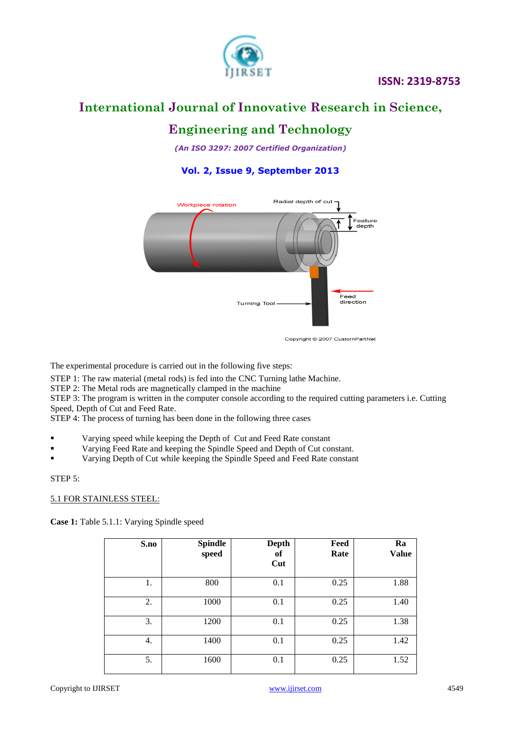

# **International Journal of Innovative Research in Science,**

# **Engineering and Technology**

*(An ISO 3297: 2007 Certified Organization)*

## **Vol. 2, Issue 9, September 2013**



Copyright @ 2007 CustomPartNet

The experimental procedure is carried out in the following five steps:

STEP 1: The raw material (metal rods) is fed into the CNC Turning lathe Machine.

STEP 2: The Metal rods are magnetically clamped in the machine

STEP 3: The program is written in the computer console according to the required cutting parameters i.e. Cutting Speed, Depth of Cut and Feed Rate.

STEP 4: The process of turning has been done in the following three cases

- Varying speed while keeping the Depth of Cut and Feed Rate constant
- Varying Feed Rate and keeping the Spindle Speed and Depth of Cut constant.
- Varying Depth of Cut while keeping the Spindle Speed and Feed Rate constant

### STEP 5:

### 5.1 FOR STAINLESS STEEL:

**Case 1:** Table 5.1.1: Varying Spindle speed

| S.no | <b>Spindle</b><br>speed | <b>Depth</b><br>of<br>Cut | Feed<br>Rate | Ra<br><b>Value</b> |
|------|-------------------------|---------------------------|--------------|--------------------|
| 1.   | 800                     | 0.1                       | 0.25         | 1.88               |
| 2.   | 1000                    | 0.1                       | 0.25         | 1.40               |
| 3.   | 1200                    | 0.1                       | 0.25         | 1.38               |
| 4.   | 1400                    | 0.1                       | 0.25         | 1.42               |
| 5.   | 1600                    | 0.1                       | 0.25         | 1.52               |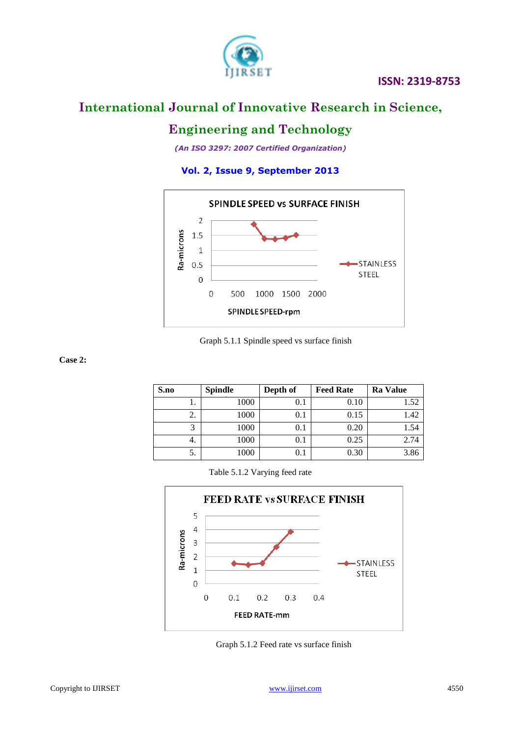

# **International Journal of Innovative Research in Science,**

# **Engineering and Technology**

*(An ISO 3297: 2007 Certified Organization)*

## **Vol. 2, Issue 9, September 2013**



### Graph 5.1.1 Spindle speed vs surface finish

 **Case 2:** 

| S.no | Spindle | Depth of | <b>Feed Rate</b> | <b>Ra</b> Value |
|------|---------|----------|------------------|-----------------|
| ı.   | 1000    | 0.1      | 0.10             | 1.52            |
| 2.   | 1000    | 0.1      | 0.15             | 1.42            |
| 3    | 1000    | 0.1      | 0.20             | 1.54            |
| 4.   | 1000    | 0.1      | 0.25             | 2.74            |
| 5.   | 1000    | 0.1      | 0.30             | 3.86            |

Table 5.1.2 Varying feed rate



Graph 5.1.2 Feed rate vs surface finish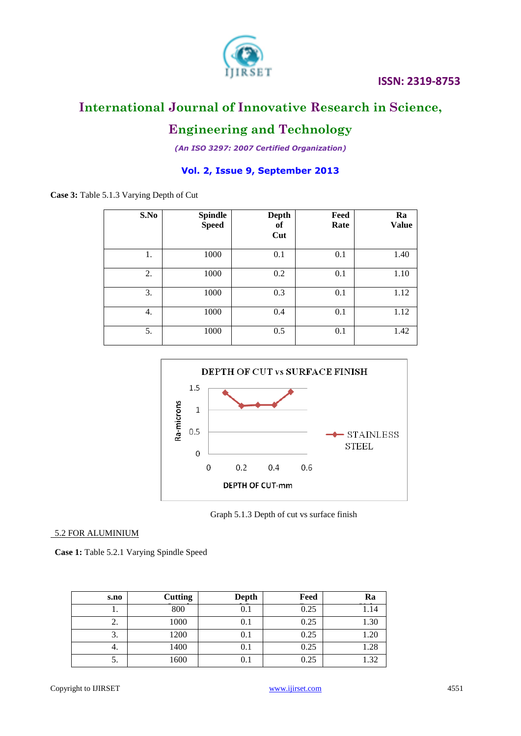

# **International Journal of Innovative Research in Science,**

# **Engineering and Technology**

*(An ISO 3297: 2007 Certified Organization)*

## **Vol. 2, Issue 9, September 2013**

**Case 3:** Table 5.1.3 Varying Depth of Cut

| S.No | <b>Spindle</b><br><b>Speed</b> | <b>Depth</b><br>of<br>Cut | Feed<br>Rate | Ra<br><b>Value</b> |
|------|--------------------------------|---------------------------|--------------|--------------------|
| 1.   | 1000                           | 0.1                       | 0.1          | 1.40               |
| 2.   | 1000                           | 0.2                       | 0.1          | 1.10               |
| 3.   | 1000                           | 0.3                       | 0.1          | 1.12               |
| 4.   | 1000                           | 0.4                       | 0.1          | 1.12               |
| 5.   | 1000                           | 0.5                       | 0.1          | 1.42               |



Graph 5.1.3 Depth of cut vs surface finish

### 5.2 FOR ALUMINIUM

 **Case 1:** Table 5.2.1 Varying Spindle Speed

| s.no | <b>Cutting</b> | Depth     | Feed | Ra   |
|------|----------------|-----------|------|------|
| . .  | 800            | $\rm 0.1$ | 0.25 | 1.14 |
| z.   | 1000           | 0.1       | 0.25 | 1.30 |
| 3.   | 1200           | 0.1       | 0.25 | 1.20 |
| ٠.   | 1400           | 0.1       | 0.25 | 1.28 |
| C.   | 1600           | 0.1       | 0.25 | 1.32 |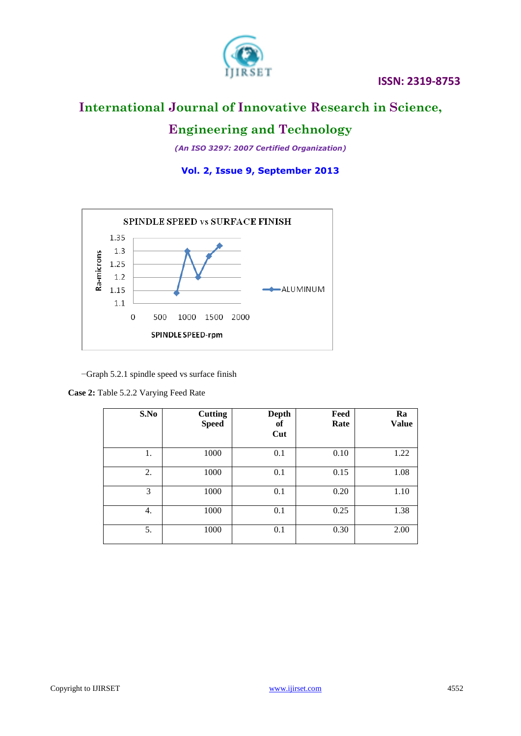

## **International Journal of Innovative Research in Science,**

# **Engineering and Technology**

*(An ISO 3297: 2007 Certified Organization)*

**Vol. 2, Issue 9, September 2013**



−Graph 5.2.1 spindle speed vs surface finish

| <b>Case 2:</b> Table 5.2.2 Varying Feed Rate |  |
|----------------------------------------------|--|
|                                              |  |

| S.No | <b>Cutting</b><br><b>Speed</b> | <b>Depth</b><br>оf<br>Cut | Feed<br>Rate | Ra<br><b>Value</b> |
|------|--------------------------------|---------------------------|--------------|--------------------|
| 1.   | 1000                           | 0.1                       | 0.10         | 1.22               |
| 2.   | 1000                           | 0.1                       | 0.15         | 1.08               |
| 3    | 1000                           | 0.1                       | 0.20         | 1.10               |
| 4.   | 1000                           | 0.1                       | 0.25         | 1.38               |
| 5.   | 1000                           | 0.1                       | 0.30         | 2.00               |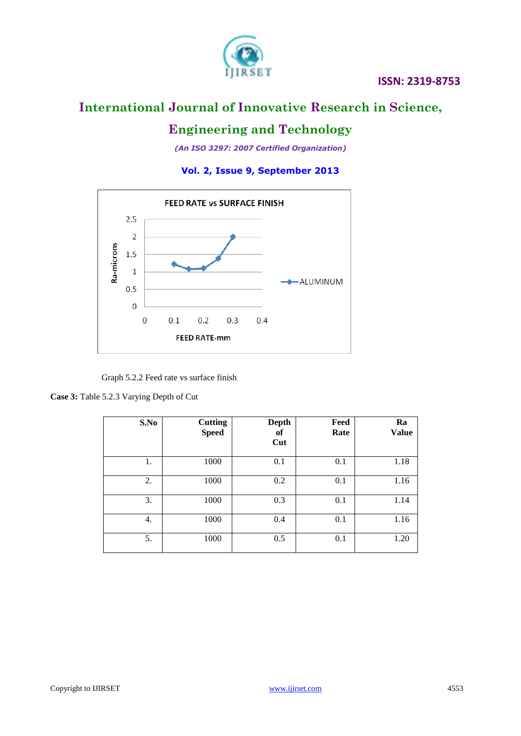

# **International Journal of Innovative Research in Science,**

# **Engineering and Technology**

*(An ISO 3297: 2007 Certified Organization)*

**Vol. 2, Issue 9, September 2013**



Graph 5.2.2 Feed rate vs surface finish

**Case 3:** Table 5.2.3 Varying Depth of Cut

| S.No | <b>Cutting</b><br><b>Speed</b> | <b>Depth</b><br>of<br>Cut | Feed<br>Rate | Ra<br><b>Value</b> |
|------|--------------------------------|---------------------------|--------------|--------------------|
| 1.   | 1000                           | 0.1                       | 0.1          | 1.18               |
| 2.   | 1000                           | 0.2                       | 0.1          | 1.16               |
| 3.   | 1000                           | 0.3                       | 0.1          | 1.14               |
| 4.   | 1000                           | 0.4                       | 0.1          | 1.16               |
| 5.   | 1000                           | 0.5                       | 0.1          | 1.20               |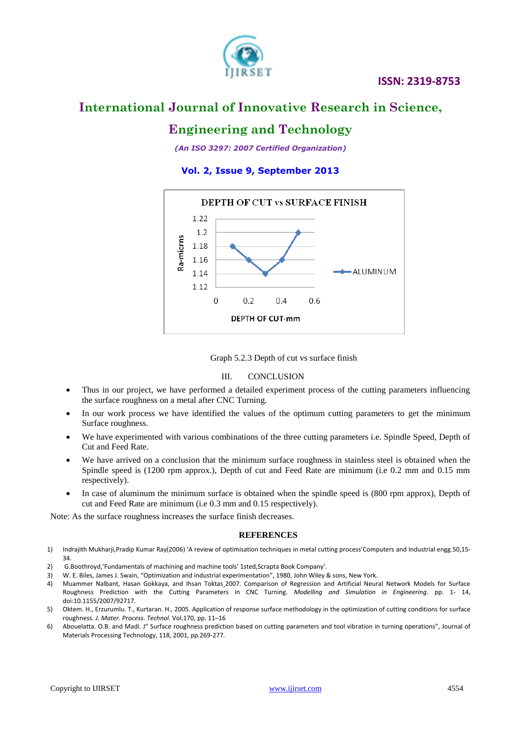

## **International Journal of Innovative Research in Science,**

# **Engineering and Technology**

*(An ISO 3297: 2007 Certified Organization)*

## **Vol. 2, Issue 9, September 2013**





### III. CONCLUSION

- Thus in our project, we have performed a detailed experiment process of the cutting parameters influencing the surface roughness on a metal after CNC Turning.
- In our work process we have identified the values of the optimum cutting parameters to get the minimum Surface roughness.
- We have experimented with various combinations of the three cutting parameters i.e. Spindle Speed, Depth of Cut and Feed Rate.
- We have arrived on a conclusion that the minimum surface roughness in stainless steel is obtained when the Spindle speed is (1200 rpm approx.), Depth of cut and Feed Rate are minimum (i.e 0.2 mm and 0.15 mm respectively).
- In case of aluminum the minimum surface is obtained when the spindle speed is (800 rpm approx), Depth of cut and Feed Rate are minimum (i.e 0.3 mm and 0.15 respectively).

Note: As the surface roughness increases the surface finish decreases.

### **REFERENCES**

- 1) Indrajith Mukharji,Pradip Kumar Ray(2006) 'A review of optimisation techniques in metal cutting process'Computers and Industrial engg.50,15- 34.
- 2) G.Boothroyd,'Fundamentals of machining and machine tools' 1sted,Scrapta Book Company'.
- 3) W. E. Biles, James J. Swain, "Optimization and industrial experimentation", 1980, John Wiley & sons, New York.
- 4) Muammer Nalbant, Hasan Gokkaya, and Ihsan Toktas¸2007. Comparison of Regression and Artificial Neural Network Models for Surface Roughness Prediction with the Cutting Parameters in CNC Turning. *Modelling and Simulation in Engineering*. pp. 1- 14, doi:10.1155/2007/92717.
- 5) Oktem. H., Erzurumlu. T., Kurtaran. H., 2005. Application of response surface methodology in the optimization of cutting conditions for surface roughness. *J. Mater. Process. Technol*. Vol.170, pp. 11–16
- 6) Abouelatta. O.B. and Madi. J" Surface roughness prediction based on cutting parameters and tool vibration in turning operations", Journal of Materials Processing Technology, 118, 2001, pp.269-277.